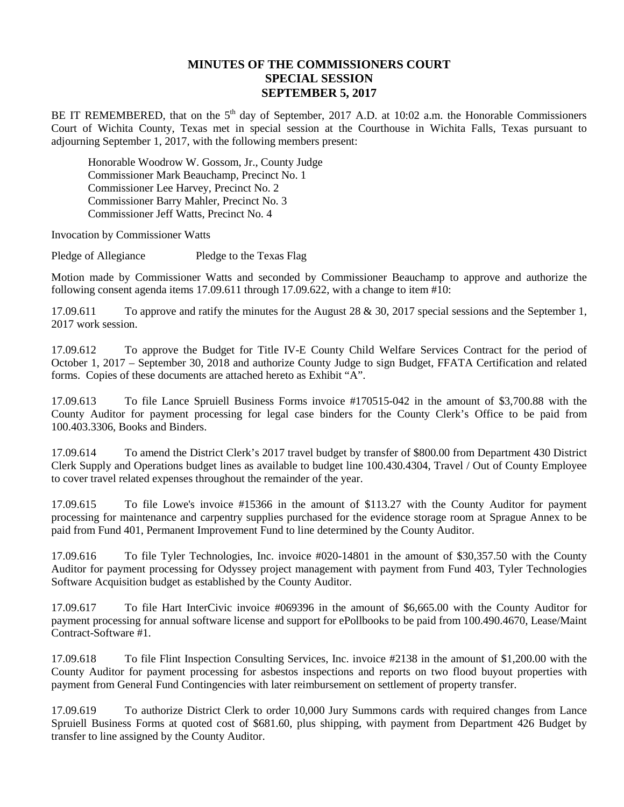## **MINUTES OF THE COMMISSIONERS COURT SPECIAL SESSION SEPTEMBER 5, 2017**

BE IT REMEMBERED, that on the 5<sup>th</sup> day of September, 2017 A.D. at 10:02 a.m. the Honorable Commissioners Court of Wichita County, Texas met in special session at the Courthouse in Wichita Falls, Texas pursuant to adjourning September 1, 2017, with the following members present:

Honorable Woodrow W. Gossom, Jr., County Judge Commissioner Mark Beauchamp, Precinct No. 1 Commissioner Lee Harvey, Precinct No. 2 Commissioner Barry Mahler, Precinct No. 3 Commissioner Jeff Watts, Precinct No. 4

Invocation by Commissioner Watts

Pledge of Allegiance Pledge to the Texas Flag

Motion made by Commissioner Watts and seconded by Commissioner Beauchamp to approve and authorize the following consent agenda items 17.09.611 through 17.09.622, with a change to item #10:

17.09.611 To approve and ratify the minutes for the August 28 & 30, 2017 special sessions and the September 1, 2017 work session.

17.09.612 To approve the Budget for Title IV-E County Child Welfare Services Contract for the period of October 1, 2017 – September 30, 2018 and authorize County Judge to sign Budget, FFATA Certification and related forms. Copies of these documents are attached hereto as Exhibit "A".

17.09.613 To file Lance Spruiell Business Forms invoice #170515-042 in the amount of \$3,700.88 with the County Auditor for payment processing for legal case binders for the County Clerk's Office to be paid from 100.403.3306, Books and Binders.

17.09.614 To amend the District Clerk's 2017 travel budget by transfer of \$800.00 from Department 430 District Clerk Supply and Operations budget lines as available to budget line 100.430.4304, Travel / Out of County Employee to cover travel related expenses throughout the remainder of the year.

17.09.615 To file Lowe's invoice #15366 in the amount of \$113.27 with the County Auditor for payment processing for maintenance and carpentry supplies purchased for the evidence storage room at Sprague Annex to be paid from Fund 401, Permanent Improvement Fund to line determined by the County Auditor.

17.09.616 To file Tyler Technologies, Inc. invoice #020-14801 in the amount of \$30,357.50 with the County Auditor for payment processing for Odyssey project management with payment from Fund 403, Tyler Technologies Software Acquisition budget as established by the County Auditor.

17.09.617 To file Hart InterCivic invoice #069396 in the amount of \$6,665.00 with the County Auditor for payment processing for annual software license and support for ePollbooks to be paid from 100.490.4670, Lease/Maint Contract-Software #1.

17.09.618 To file Flint Inspection Consulting Services, Inc. invoice #2138 in the amount of \$1,200.00 with the County Auditor for payment processing for asbestos inspections and reports on two flood buyout properties with payment from General Fund Contingencies with later reimbursement on settlement of property transfer.

17.09.619 To authorize District Clerk to order 10,000 Jury Summons cards with required changes from Lance Spruiell Business Forms at quoted cost of \$681.60, plus shipping, with payment from Department 426 Budget by transfer to line assigned by the County Auditor.